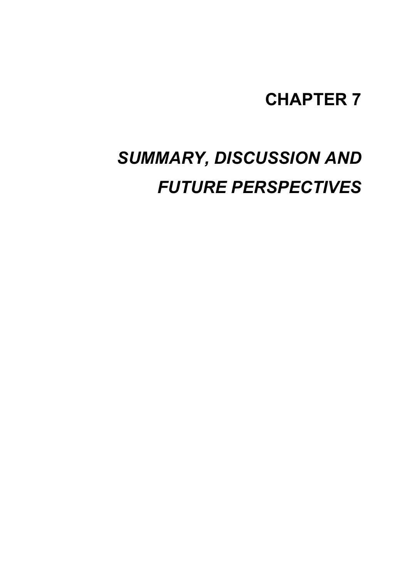## **CHAPTER 7**

# *SUMMARY, DISCUSSION AND FUTURE PERSPECTIVES*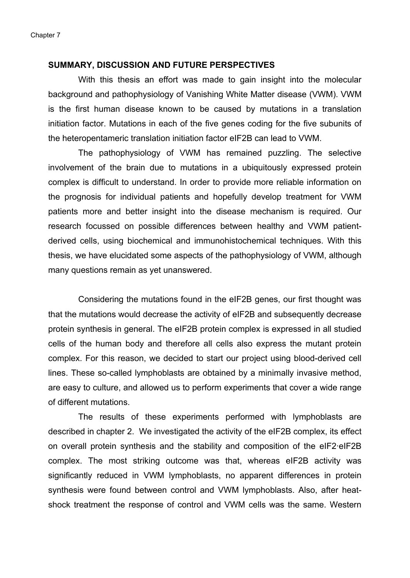Chapter 7

#### **SUMMARY, DISCUSSION AND FUTURE PERSPECTIVES**

With this thesis an effort was made to gain insight into the molecular background and pathophysiology of Vanishing White Matter disease (VWM). VWM is the first human disease known to be caused by mutations in a translation initiation factor. Mutations in each of the five genes coding for the five subunits of the heteropentameric translation initiation factor eIF2B can lead to VWM.

The pathophysiology of VWM has remained puzzling. The selective involvement of the brain due to mutations in a ubiquitously expressed protein complex is difficult to understand. In order to provide more reliable information on the prognosis for individual patients and hopefully develop treatment for VWM patients more and better insight into the disease mechanism is required. Our research focussed on possible differences between healthy and VWM patientderived cells, using biochemical and immunohistochemical techniques. With this thesis, we have elucidated some aspects of the pathophysiology of VWM, although many questions remain as yet unanswered.

 Considering the mutations found in the eIF2B genes, our first thought was that the mutations would decrease the activity of eIF2B and subsequently decrease protein synthesis in general. The eIF2B protein complex is expressed in all studied cells of the human body and therefore all cells also express the mutant protein complex. For this reason, we decided to start our project using blood-derived cell lines. These so-called lymphoblasts are obtained by a minimally invasive method, are easy to culture, and allowed us to perform experiments that cover a wide range of different mutations.

 The results of these experiments performed with lymphoblasts are described in chapter 2. We investigated the activity of the eIF2B complex, its effect on overall protein synthesis and the stability and composition of the eIF2·eIF2B complex. The most striking outcome was that, whereas eIF2B activity was significantly reduced in VWM lymphoblasts, no apparent differences in protein synthesis were found between control and VWM lymphoblasts. Also, after heatshock treatment the response of control and VWM cells was the same. Western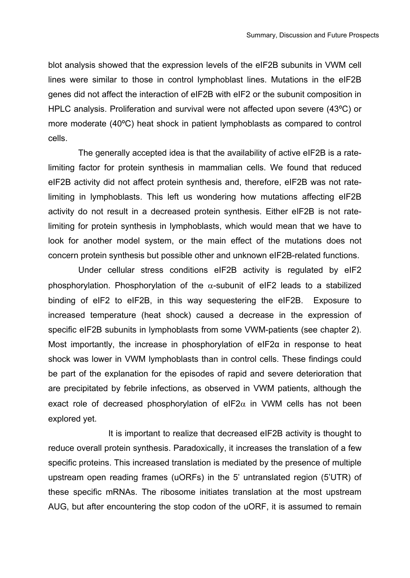blot analysis showed that the expression levels of the eIF2B subunits in VWM cell lines were similar to those in control lymphoblast lines. Mutations in the eIF2B genes did not affect the interaction of eIF2B with eIF2 or the subunit composition in HPLC analysis. Proliferation and survival were not affected upon severe (43ºC) or more moderate (40ºC) heat shock in patient lymphoblasts as compared to control cells.

The generally accepted idea is that the availability of active eIF2B is a ratelimiting factor for protein synthesis in mammalian cells. We found that reduced eIF2B activity did not affect protein synthesis and, therefore, eIF2B was not ratelimiting in lymphoblasts. This left us wondering how mutations affecting eIF2B activity do not result in a decreased protein synthesis. Either eIF2B is not ratelimiting for protein synthesis in lymphoblasts, which would mean that we have to look for another model system, or the main effect of the mutations does not concern protein synthesis but possible other and unknown eIF2B-related functions.

Under cellular stress conditions eIF2B activity is regulated by eIF2 phosphorylation. Phosphorylation of the  $\alpha$ -subunit of eIF2 leads to a stabilized binding of eIF2 to eIF2B, in this way sequestering the eIF2B. Exposure to increased temperature (heat shock) caused a decrease in the expression of specific eIF2B subunits in lymphoblasts from some VWM-patients (see chapter 2). Most importantly, the increase in phosphorylation of  $eIF2\alpha$  in response to heat shock was lower in VWM lymphoblasts than in control cells. These findings could be part of the explanation for the episodes of rapid and severe deterioration that are precipitated by febrile infections, as observed in VWM patients, although the exact role of decreased phosphorylation of eIF2 $\alpha$  in VWM cells has not been explored yet.

 It is important to realize that decreased eIF2B activity is thought to reduce overall protein synthesis. Paradoxically, it increases the translation of a few specific proteins. This increased translation is mediated by the presence of multiple upstream open reading frames (uORFs) in the 5' untranslated region (5'UTR) of these specific mRNAs. The ribosome initiates translation at the most upstream AUG, but after encountering the stop codon of the uORF, it is assumed to remain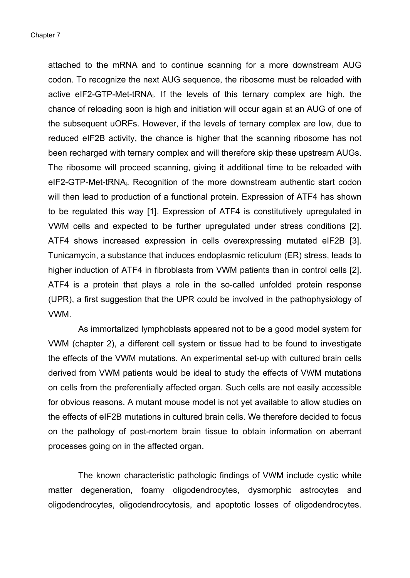attached to the mRNA and to continue scanning for a more downstream AUG codon. To recognize the next AUG sequence, the ribosome must be reloaded with active eIF2-GTP-Met-tRNA<sub>i</sub>. If the levels of this ternary complex are high, the chance of reloading soon is high and initiation will occur again at an AUG of one of the subsequent uORFs. However, if the levels of ternary complex are low, due to reduced eIF2B activity, the chance is higher that the scanning ribosome has not been recharged with ternary complex and will therefore skip these upstream AUGs. The ribosome will proceed scanning, giving it additional time to be reloaded with eIF2-GTP-Met-tRNA<sub>i</sub>. Recognition of the more downstream authentic start codon will then lead to production of a functional protein. Expression of ATF4 has shown to be regulated this way [1]. Expression of ATF4 is constitutively upregulated in VWM cells and expected to be further upregulated under stress conditions [2]. ATF4 shows increased expression in cells overexpressing mutated eIF2B [3]. Tunicamycin, a substance that induces endoplasmic reticulum (ER) stress, leads to higher induction of ATF4 in fibroblasts from VWM patients than in control cells [2]. ATF4 is a protein that plays a role in the so-called unfolded protein response (UPR), a first suggestion that the UPR could be involved in the pathophysiology of VWM.

 As immortalized lymphoblasts appeared not to be a good model system for VWM (chapter 2), a different cell system or tissue had to be found to investigate the effects of the VWM mutations. An experimental set-up with cultured brain cells derived from VWM patients would be ideal to study the effects of VWM mutations on cells from the preferentially affected organ. Such cells are not easily accessible for obvious reasons. A mutant mouse model is not yet available to allow studies on the effects of eIF2B mutations in cultured brain cells. We therefore decided to focus on the pathology of post-mortem brain tissue to obtain information on aberrant processes going on in the affected organ.

 The known characteristic pathologic findings of VWM include cystic white matter degeneration, foamy oligodendrocytes, dysmorphic astrocytes and oligodendrocytes, oligodendrocytosis, and apoptotic losses of oligodendrocytes.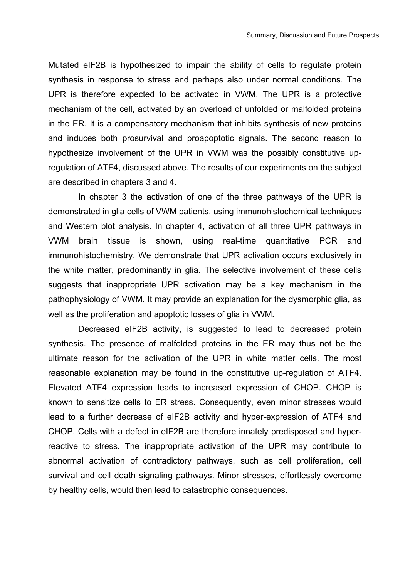Mutated eIF2B is hypothesized to impair the ability of cells to regulate protein synthesis in response to stress and perhaps also under normal conditions. The UPR is therefore expected to be activated in VWM. The UPR is a protective mechanism of the cell, activated by an overload of unfolded or malfolded proteins in the ER. It is a compensatory mechanism that inhibits synthesis of new proteins and induces both prosurvival and proapoptotic signals. The second reason to hypothesize involvement of the UPR in VWM was the possibly constitutive upregulation of ATF4, discussed above. The results of our experiments on the subject are described in chapters 3 and 4.

 In chapter 3 the activation of one of the three pathways of the UPR is demonstrated in glia cells of VWM patients, using immunohistochemical techniques and Western blot analysis. In chapter 4, activation of all three UPR pathways in VWM brain tissue is shown, using real-time quantitative PCR and immunohistochemistry. We demonstrate that UPR activation occurs exclusively in the white matter, predominantly in glia. The selective involvement of these cells suggests that inappropriate UPR activation may be a key mechanism in the pathophysiology of VWM. It may provide an explanation for the dysmorphic glia, as well as the proliferation and apoptotic losses of glia in VWM.

 Decreased eIF2B activity, is suggested to lead to decreased protein synthesis. The presence of malfolded proteins in the ER may thus not be the ultimate reason for the activation of the UPR in white matter cells. The most reasonable explanation may be found in the constitutive up-regulation of ATF4. Elevated ATF4 expression leads to increased expression of CHOP. CHOP is known to sensitize cells to ER stress. Consequently, even minor stresses would lead to a further decrease of eIF2B activity and hyper-expression of ATF4 and CHOP. Cells with a defect in eIF2B are therefore innately predisposed and hyperreactive to stress. The inappropriate activation of the UPR may contribute to abnormal activation of contradictory pathways, such as cell proliferation, cell survival and cell death signaling pathways. Minor stresses, effortlessly overcome by healthy cells, would then lead to catastrophic consequences.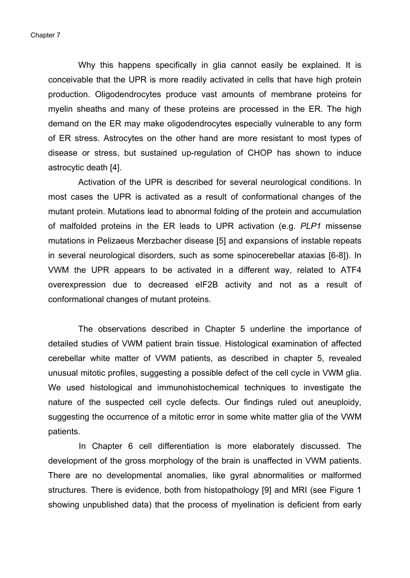Chapter 7

 Why this happens specifically in glia cannot easily be explained. It is conceivable that the UPR is more readily activated in cells that have high protein production. Oligodendrocytes produce vast amounts of membrane proteins for myelin sheaths and many of these proteins are processed in the ER. The high demand on the ER may make oligodendrocytes especially vulnerable to any form of ER stress. Astrocytes on the other hand are more resistant to most types of disease or stress, but sustained up-regulation of CHOP has shown to induce astrocytic death [4].

 Activation of the UPR is described for several neurological conditions. In most cases the UPR is activated as a result of conformational changes of the mutant protein. Mutations lead to abnormal folding of the protein and accumulation of malfolded proteins in the ER leads to UPR activation (e.g. *PLP1* missense mutations in Pelizaeus Merzbacher disease [5] and expansions of instable repeats in several neurological disorders, such as some spinocerebellar ataxias [6-8]). In VWM the UPR appears to be activated in a different way, related to ATF4 overexpression due to decreased eIF2B activity and not as a result of conformational changes of mutant proteins.

The observations described in Chapter 5 underline the importance of detailed studies of VWM patient brain tissue. Histological examination of affected cerebellar white matter of VWM patients, as described in chapter 5, revealed unusual mitotic profiles, suggesting a possible defect of the cell cycle in VWM glia. We used histological and immunohistochemical techniques to investigate the nature of the suspected cell cycle defects. Our findings ruled out aneuploidy, suggesting the occurrence of a mitotic error in some white matter glia of the VWM patients.

In Chapter 6 cell differentiation is more elaborately discussed. The development of the gross morphology of the brain is unaffected in VWM patients. There are no developmental anomalies, like gyral abnormalities or malformed structures. There is evidence, both from histopathology [9] and MRI (see Figure 1 showing unpublished data) that the process of myelination is deficient from early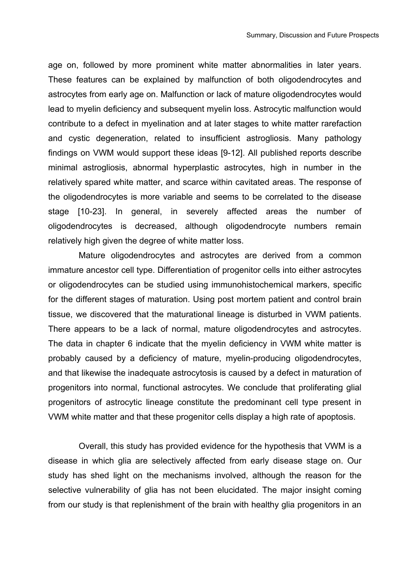age on, followed by more prominent white matter abnormalities in later years. These features can be explained by malfunction of both oligodendrocytes and astrocytes from early age on. Malfunction or lack of mature oligodendrocytes would lead to myelin deficiency and subsequent myelin loss. Astrocytic malfunction would contribute to a defect in myelination and at later stages to white matter rarefaction and cystic degeneration, related to insufficient astrogliosis. Many pathology findings on VWM would support these ideas [9-12]. All published reports describe minimal astrogliosis, abnormal hyperplastic astrocytes, high in number in the relatively spared white matter, and scarce within cavitated areas. The response of the oligodendrocytes is more variable and seems to be correlated to the disease stage [10-23]. In general, in severely affected areas the number of oligodendrocytes is decreased, although oligodendrocyte numbers remain relatively high given the degree of white matter loss.

Mature oligodendrocytes and astrocytes are derived from a common immature ancestor cell type. Differentiation of progenitor cells into either astrocytes or oligodendrocytes can be studied using immunohistochemical markers, specific for the different stages of maturation. Using post mortem patient and control brain tissue, we discovered that the maturational lineage is disturbed in VWM patients. There appears to be a lack of normal, mature oligodendrocytes and astrocytes. The data in chapter 6 indicate that the myelin deficiency in VWM white matter is probably caused by a deficiency of mature, myelin-producing oligodendrocytes, and that likewise the inadequate astrocytosis is caused by a defect in maturation of progenitors into normal, functional astrocytes. We conclude that proliferating glial progenitors of astrocytic lineage constitute the predominant cell type present in VWM white matter and that these progenitor cells display a high rate of apoptosis.

Overall, this study has provided evidence for the hypothesis that VWM is a disease in which glia are selectively affected from early disease stage on. Our study has shed light on the mechanisms involved, although the reason for the selective vulnerability of glia has not been elucidated. The major insight coming from our study is that replenishment of the brain with healthy glia progenitors in an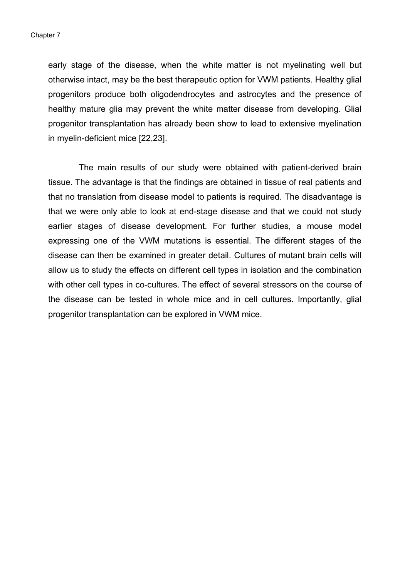Chapter 7

early stage of the disease, when the white matter is not myelinating well but otherwise intact, may be the best therapeutic option for VWM patients. Healthy glial progenitors produce both oligodendrocytes and astrocytes and the presence of healthy mature glia may prevent the white matter disease from developing. Glial progenitor transplantation has already been show to lead to extensive myelination in myelin-deficient mice [22,23].

The main results of our study were obtained with patient-derived brain tissue. The advantage is that the findings are obtained in tissue of real patients and that no translation from disease model to patients is required. The disadvantage is that we were only able to look at end-stage disease and that we could not study earlier stages of disease development. For further studies, a mouse model expressing one of the VWM mutations is essential. The different stages of the disease can then be examined in greater detail. Cultures of mutant brain cells will allow us to study the effects on different cell types in isolation and the combination with other cell types in co-cultures. The effect of several stressors on the course of the disease can be tested in whole mice and in cell cultures. Importantly, glial progenitor transplantation can be explored in VWM mice.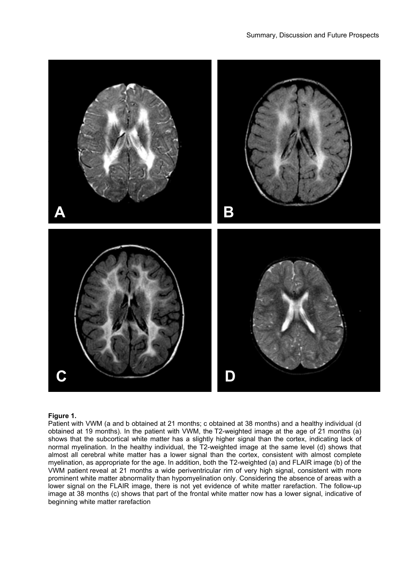#### Summary, Discussion and Future Prospects



#### **Figure 1.**

Patient with VWM (a and b obtained at 21 months; c obtained at 38 months) and a healthy individual (d obtained at 19 months). In the patient with VWM, the T2-weighted image at the age of 21 months (a) shows that the subcortical white matter has a slightly higher signal than the cortex, indicating lack of normal myelination. In the healthy individual, the T2-weighted image at the same level (d) shows that almost all cerebral white matter has a lower signal than the cortex, consistent with almost complete myelination, as appropriate for the age. In addition, both the T2-weighted (a) and FLAIR image (b) of the VWM patient reveal at 21 months a wide periventricular rim of very high signal, consistent with more prominent white matter abnormality than hypomyelination only. Considering the absence of areas with a lower signal on the FLAIR image, there is not yet evidence of white matter rarefaction. The follow-up image at 38 months (c) shows that part of the frontal white matter now has a lower signal, indicative of beginning white matter rarefaction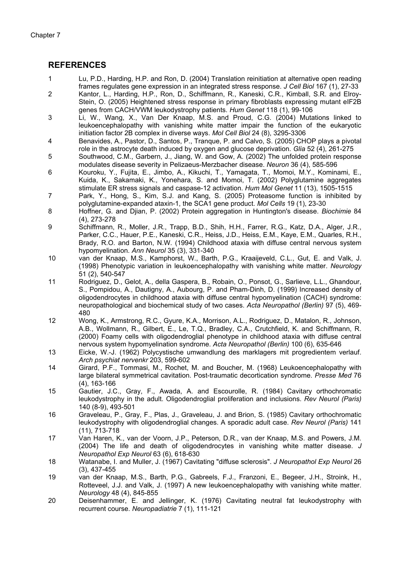### **REFERENCES**

- 1 Lu, P.D., Harding, H.P. and Ron, D. (2004) Translation reinitiation at alternative open reading frames regulates gene expression in an integrated stress response. *J Cell Biol* 167 (1), 27-33
- 2 Kantor, L., Harding, H.P., Ron, D., Schiffmann, R., Kaneski, C.R., Kimball, S.R. and Elroy-Stein, O. (2005) Heightened stress response in primary fibroblasts expressing mutant eIF2B genes from CACH/VWM leukodystrophy patients. *Hum Genet* 118 (1), 99-106
- 3 Li, W., Wang, X., Van Der Knaap, M.S. and Proud, C.G. (2004) Mutations linked to leukoencephalopathy with vanishing white matter impair the function of the eukaryotic initiation factor 2B complex in diverse ways. *Mol Cell Biol* 24 (8), 3295-3306
- 4 Benavides, A., Pastor, D., Santos, P., Tranque, P. and Calvo, S. (2005) CHOP plays a pivotal role in the astrocyte death induced by oxygen and glucose deprivation. *Glia* 52 (4), 261-275
- 5 Southwood, C.M., Garbern, J., Jiang, W. and Gow, A. (2002) The unfolded protein response modulates disease severity in Pelizaeus-Merzbacher disease. *Neuron* 36 (4), 585-596
- 6 Kouroku, Y., Fujita, E., Jimbo, A., Kikuchi, T., Yamagata, T., Momoi, M.Y., Kominami, E., Kuida, K., Sakamaki, K., Yonehara, S. and Momoi, T. (2002) Polyglutamine aggregates stimulate ER stress signals and caspase-12 activation. *Hum Mol Genet* 11 (13), 1505-1515
- 7 Park, Y., Hong, S., Kim, S.J. and Kang, S. (2005) Proteasome function is inhibited by polyglutamine-expanded ataxin-1, the SCA1 gene product. *Mol Cells* 19 (1), 23-30
- 8 Hoffner, G. and Djian, P. (2002) Protein aggregation in Huntington's disease. *Biochimie* 84 (4), 273-278
- 9 Schiffmann, R., Moller, J.R., Trapp, B.D., Shih, H.H., Farrer, R.G., Katz, D.A., Alger, J.R., Parker, C.C., Hauer, P.E., Kaneski, C.R., Heiss, J.D., Heiss, E.M., Kaye, E.M., Quarles, R.H., Brady, R.O. and Barton, N.W. (1994) Childhood ataxia with diffuse central nervous system hypomyelination. *Ann Neurol* 35 (3), 331-340
- 10 van der Knaap, M.S., Kamphorst, W., Barth, P.G., Kraaijeveld, C.L., Gut, E. and Valk, J. (1998) Phenotypic variation in leukoencephalopathy with vanishing white matter. *Neurology* 51 (2), 540-547
- 11 Rodriguez, D., Gelot, A., della Gaspera, B., Robain, O., Ponsot, G., Sarlieve, L.L., Ghandour, S., Pompidou, A., Dautigny, A., Aubourg, P. and Pham-Dinh, D. (1999) Increased density of oligodendrocytes in childhood ataxia with diffuse central hypomyelination (CACH) syndrome: neuropathological and biochemical study of two cases. *Acta Neuropathol (Berlin)* 97 (5), 469- 480
- 12 Wong, K., Armstrong, R.C., Gyure, K.A., Morrison, A.L., Rodriguez, D., Matalon, R., Johnson, A.B., Wollmann, R., Gilbert, E., Le, T.Q., Bradley, C.A., Crutchfield, K. and Schiffmann, R. (2000) Foamy cells with oligodendroglial phenotype in childhood ataxia with diffuse central nervous system hypomyelination syndrome. *Acta Neuropathol (Berlin)* 100 (6), 635-646
- 13 Eicke, W.-J. (1962) Polycystische umwandlung des marklagers mit progredientem verlauf. *Arch psychiat nervenkr* 203, 599-602
- 14 Girard, P.F., Tommasi, M., Rochet, M. and Boucher, M. (1968) Leukoencephalopathy with large bilateral symmetrical cavitation. Post-traumatic decortication syndrome. *Presse Med* 76 (4), 163-166
- 15 Gautier, J.C., Gray, F., Awada, A. and Escourolle, R. (1984) Cavitary orthochromatic leukodystrophy in the adult. Oligodendroglial proliferation and inclusions. *Rev Neurol (Paris)* 140 (8-9), 493-501
- 16 Graveleau, P., Gray, F., Plas, J., Graveleau, J. and Brion, S. (1985) Cavitary orthochromatic leukodystrophy with oligodendroglial changes. A sporadic adult case. *Rev Neurol (Paris)* 141 (11), 713-718
- 17 Van Haren, K., van der Voorn, J.P., Peterson, D.R., van der Knaap, M.S. and Powers, J.M. (2004) The life and death of oligodendrocytes in vanishing white matter disease. *J Neuropathol Exp Neurol* 63 (6), 618-630
- 18 Watanabe, I. and Muller, J. (1967) Cavitating "diffuse sclerosis". *J Neuropathol Exp Neurol* 26 (3), 437-455
- 19 van der Knaap, M.S., Barth, P.G., Gabreels, F.J., Franzoni, E., Begeer, J.H., Stroink, H., Rotteveel, J.J. and Valk, J. (1997) A new leukoencephalopathy with vanishing white matter. *Neurology* 48 (4), 845-855
- 20 Deisenhammer, E. and Jellinger, K. (1976) Cavitating neutral fat leukodystrophy with recurrent course. *Neuropadiatrie* 7 (1), 111-121